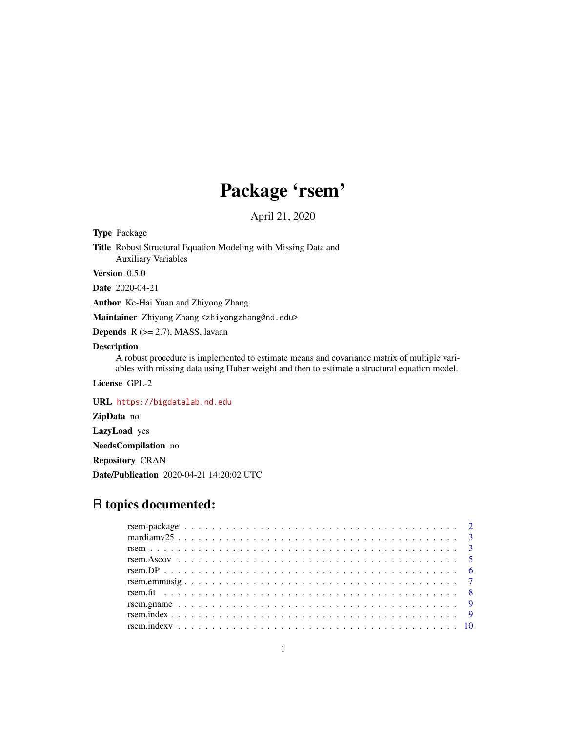## Package 'rsem'

April 21, 2020

Type Package

Title Robust Structural Equation Modeling with Missing Data and Auxiliary Variables

Version 0.5.0

Date 2020-04-21

Author Ke-Hai Yuan and Zhiyong Zhang

Maintainer Zhiyong Zhang <zhiyongzhang@nd.edu>

**Depends**  $R$  ( $>= 2.7$ ), MASS, lavaan

#### Description

A robust procedure is implemented to estimate means and covariance matrix of multiple variables with missing data using Huber weight and then to estimate a structural equation model.

License GPL-2

URL <https://bigdatalab.nd.edu>

ZipData no

LazyLoad yes

NeedsCompilation no

Repository CRAN

Date/Publication 2020-04-21 14:20:02 UTC

### R topics documented: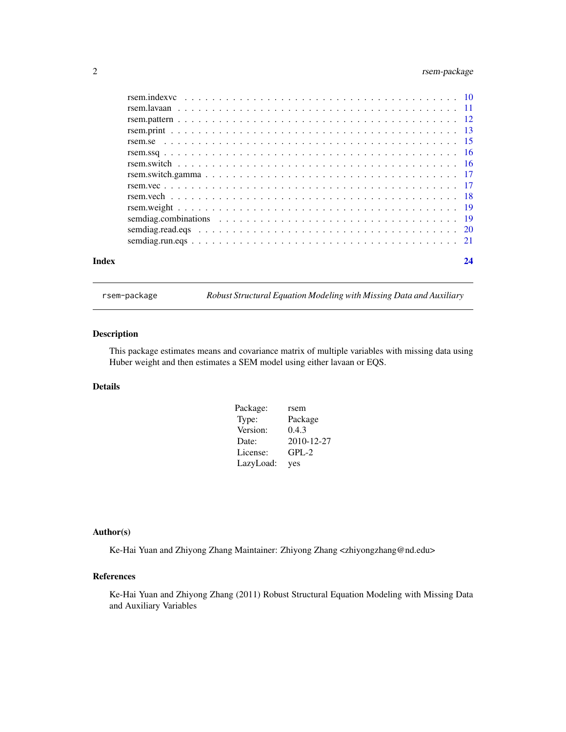#### <span id="page-1-0"></span>2 rsem-package

| Index | 24 |
|-------|----|
|       |    |
|       |    |
|       |    |
|       |    |
|       |    |
|       |    |
|       |    |
|       |    |
|       |    |
|       |    |
|       |    |
|       |    |
|       |    |
|       |    |

rsem-package *Robust Structural Equation Modeling with Missing Data and Auxiliary*

#### Description

This package estimates means and covariance matrix of multiple variables with missing data using Huber weight and then estimates a SEM model using either lavaan or EQS.

#### Details

| Package:  | rsem       |
|-----------|------------|
| Type:     | Package    |
| Version:  | 0.4.3      |
| Date:     | 2010-12-27 |
| License:  | $GPL-2$    |
| LazyLoad: | yes        |

#### Author(s)

Ke-Hai Yuan and Zhiyong Zhang Maintainer: Zhiyong Zhang <zhiyongzhang@nd.edu>

#### References

Ke-Hai Yuan and Zhiyong Zhang (2011) Robust Structural Equation Modeling with Missing Data and Auxiliary Variables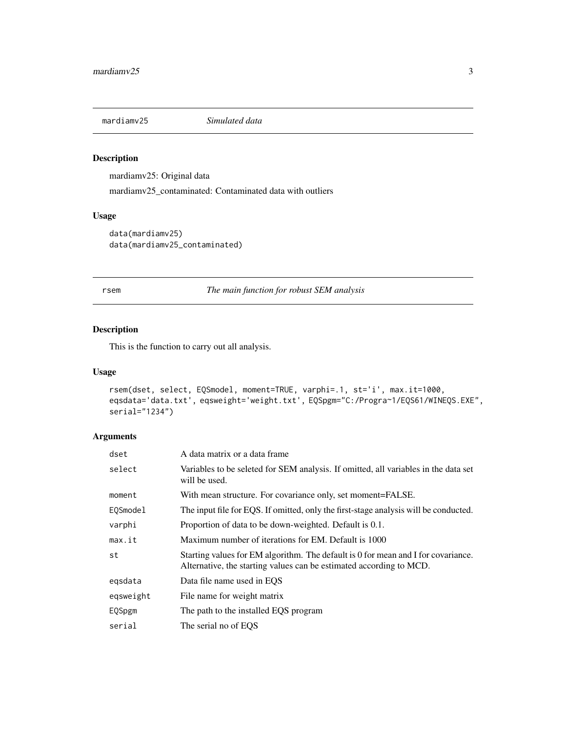<span id="page-2-0"></span>

mardiamv25: Original data

mardiamv25\_contaminated: Contaminated data with outliers

#### Usage

data(mardiamv25) data(mardiamv25\_contaminated)

rsem *The main function for robust SEM analysis*

#### Description

This is the function to carry out all analysis.

#### Usage

```
rsem(dset, select, EQSmodel, moment=TRUE, varphi=.1, st='i', max.it=1000,
eqsdata='data.txt', eqsweight='weight.txt', EQSpgm="C:/Progra~1/EQS61/WINEQS.EXE",
serial="1234")
```

| dset      | A data matrix or a data frame                                                                                                                            |
|-----------|----------------------------------------------------------------------------------------------------------------------------------------------------------|
| select    | Variables to be seleted for SEM analysis. If omitted, all variables in the data set<br>will be used.                                                     |
| moment    | With mean structure. For covariance only, set moment=FALSE.                                                                                              |
| EOSmodel  | The input file for EQS. If omitted, only the first-stage analysis will be conducted.                                                                     |
| varphi    | Proportion of data to be down-weighted. Default is 0.1.                                                                                                  |
| max.it    | Maximum number of iterations for EM. Default is 1000                                                                                                     |
| st        | Starting values for EM algorithm. The default is 0 for mean and I for covariance.<br>Alternative, the starting values can be estimated according to MCD. |
| egsdata   | Data file name used in EQS                                                                                                                               |
| egsweight | File name for weight matrix                                                                                                                              |
| EQSpgm    | The path to the installed EQS program                                                                                                                    |
| serial    | The serial no of EOS                                                                                                                                     |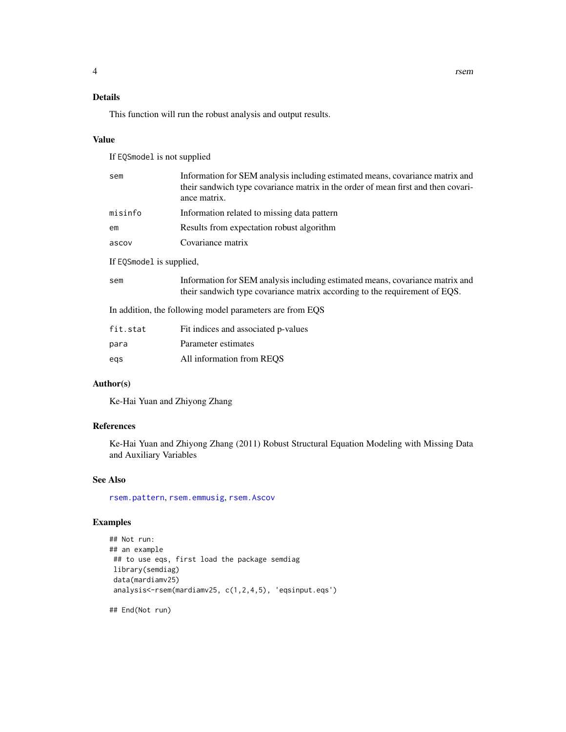#### <span id="page-3-0"></span>Details

This function will run the robust analysis and output results.

#### Value

If EQSmodel is not supplied

| sem                      | Information for SEM analysis including estimated means, covariance matrix and<br>their sandwich type covariance matrix in the order of mean first and then covari-<br>ance matrix. |
|--------------------------|------------------------------------------------------------------------------------------------------------------------------------------------------------------------------------|
| misinfo                  | Information related to missing data pattern                                                                                                                                        |
| em                       | Results from expectation robust algorithm                                                                                                                                          |
| ascov                    | Covariance matrix                                                                                                                                                                  |
| If EQSmodel is supplied, |                                                                                                                                                                                    |
| sem                      | Information for SEM analysis including estimated means, covariance matrix and<br>their sandwich type covariance matrix according to the requirement of EQS.                        |
|                          | In addition, the following model parameters are from EQS                                                                                                                           |
|                          |                                                                                                                                                                                    |

| fit.stat | Fit indices and associated p-values |
|----------|-------------------------------------|
| para     | Parameter estimates                 |
| egs      | All information from REOS           |

#### Author(s)

Ke-Hai Yuan and Zhiyong Zhang

#### References

Ke-Hai Yuan and Zhiyong Zhang (2011) Robust Structural Equation Modeling with Missing Data and Auxiliary Variables

#### See Also

[rsem.pattern](#page-11-1), [rsem.emmusig](#page-6-1), [rsem.Ascov](#page-4-1)

#### Examples

```
## Not run:
## an example
## to use eqs, first load the package semdiag
library(semdiag)
data(mardiamv25)
analysis<-rsem(mardiamv25, c(1,2,4,5), 'eqsinput.eqs')
```
## End(Not run)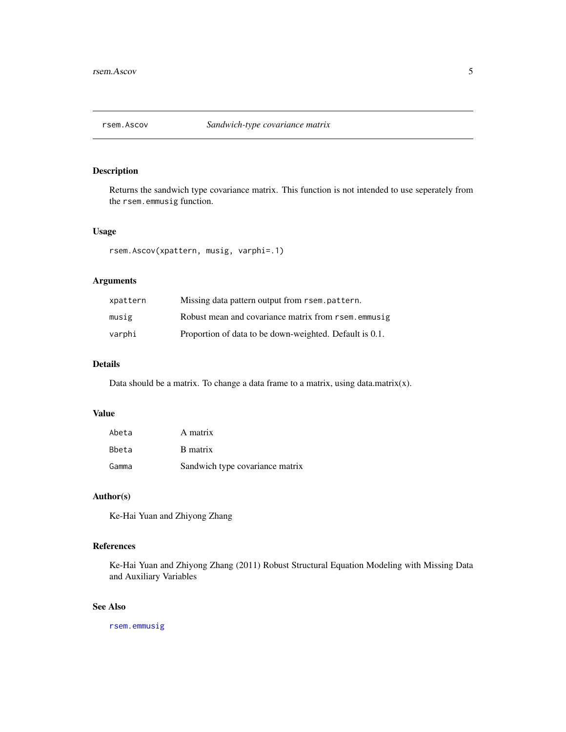<span id="page-4-1"></span><span id="page-4-0"></span>

Returns the sandwich type covariance matrix. This function is not intended to use seperately from the rsem.emmusig function.

#### Usage

```
rsem.Ascov(xpattern, musig, varphi=.1)
```
#### Arguments

| xpattern | Missing data pattern output from rsem. pattern.         |
|----------|---------------------------------------------------------|
| musig    | Robust mean and covariance matrix from rsem, emmusig    |
| varphi   | Proportion of data to be down-weighted. Default is 0.1. |

#### Details

Data should be a matrix. To change a data frame to a matrix, using data.matrix $(x)$ .

#### Value

| Abeta | A matrix                        |
|-------|---------------------------------|
| Bbeta | B matrix                        |
| Gamma | Sandwich type covariance matrix |

#### Author(s)

Ke-Hai Yuan and Zhiyong Zhang

#### References

Ke-Hai Yuan and Zhiyong Zhang (2011) Robust Structural Equation Modeling with Missing Data and Auxiliary Variables

#### See Also

[rsem.emmusig](#page-6-1)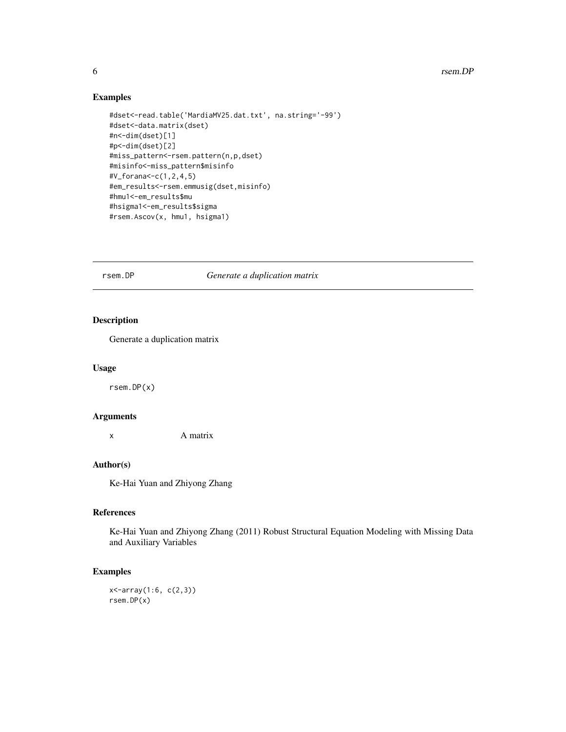6 rsem.DP

#### Examples

```
#dset<-read.table('MardiaMV25.dat.txt', na.string='-99')
#dset<-data.matrix(dset)
#n<-dim(dset)[1]
#p<-dim(dset)[2]
#miss_pattern<-rsem.pattern(n,p,dset)
#misinfo<-miss_pattern$misinfo
#V_forana<-c(1,2,4,5)
#em_results<-rsem.emmusig(dset,misinfo)
#hmu1<-em_results$mu
#hsigma1<-em_results$sigma
#rsem.Ascov(x, hmu1, hsigma1)
```
rsem.DP *Generate a duplication matrix*

#### Description

Generate a duplication matrix

#### Usage

rsem.DP(x)

#### Arguments

x A matrix

#### Author(s)

Ke-Hai Yuan and Zhiyong Zhang

#### References

Ke-Hai Yuan and Zhiyong Zhang (2011) Robust Structural Equation Modeling with Missing Data and Auxiliary Variables

#### Examples

x<-array(1:6, c(2,3)) rsem.DP(x)

<span id="page-5-0"></span>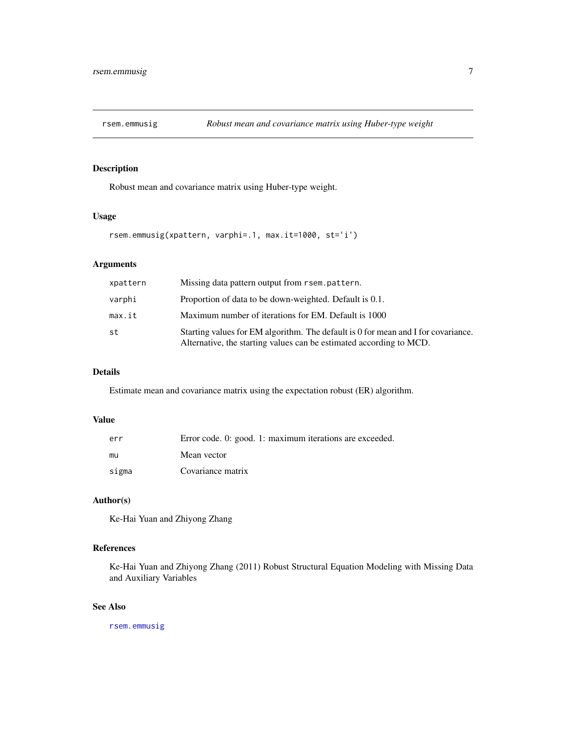<span id="page-6-1"></span><span id="page-6-0"></span>

Robust mean and covariance matrix using Huber-type weight.

#### Usage

```
rsem.emmusig(xpattern, varphi=.1, max.it=1000, st='i')
```
#### Arguments

| xpattern | Missing data pattern output from rsem.pattern.                                                                                                           |  |
|----------|----------------------------------------------------------------------------------------------------------------------------------------------------------|--|
| varphi   | Proportion of data to be down-weighted. Default is 0.1.                                                                                                  |  |
| max.it   | Maximum number of iterations for EM. Default is 1000                                                                                                     |  |
| st       | Starting values for EM algorithm. The default is 0 for mean and I for covariance.<br>Alternative, the starting values can be estimated according to MCD. |  |

#### Details

Estimate mean and covariance matrix using the expectation robust (ER) algorithm.

#### Value

| err   | Error code. 0: good. 1: maximum iterations are exceeded. |
|-------|----------------------------------------------------------|
| mu    | Mean vector                                              |
| sigma | Covariance matrix                                        |

#### Author(s)

Ke-Hai Yuan and Zhiyong Zhang

#### References

Ke-Hai Yuan and Zhiyong Zhang (2011) Robust Structural Equation Modeling with Missing Data and Auxiliary Variables

#### See Also

[rsem.emmusig](#page-6-1)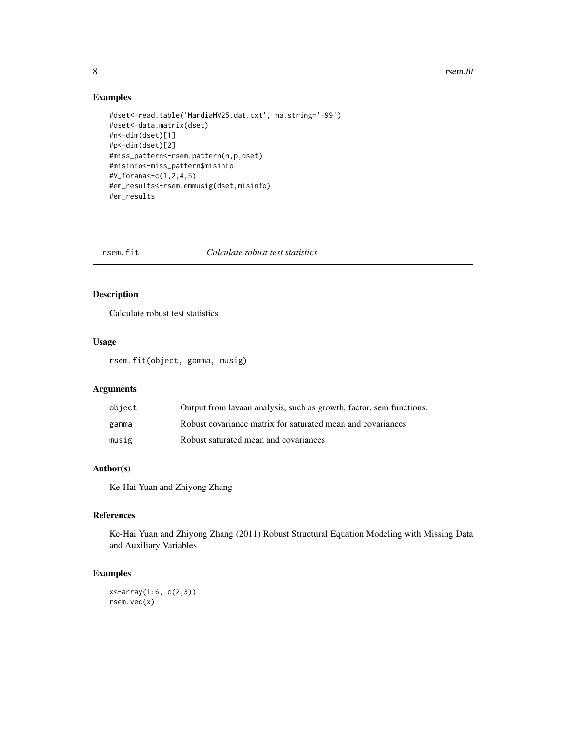#### <span id="page-7-0"></span>8 **8 rsem.fit**

#### Examples

```
#dset<-read.table('MardiaMV25.dat.txt', na.string='-99')
#dset<-data.matrix(dset)
#n<-dim(dset)[1]
#p<-dim(dset)[2]
#miss_pattern<-rsem.pattern(n,p,dset)
#misinfo<-miss_pattern$misinfo
#V_forana<-c(1,2,4,5)
#em_results<-rsem.emmusig(dset,misinfo)
#em_results
```
rsem.fit *Calculate robust test statistics*

#### Description

Calculate robust test statistics

#### Usage

rsem.fit(object, gamma, musig)

#### Arguments

| object | Output from lavaan analysis, such as growth, factor, sem functions. |
|--------|---------------------------------------------------------------------|
| gamma  | Robust covariance matrix for saturated mean and covariances         |
| musig  | Robust saturated mean and covariances                               |

#### Author(s)

Ke-Hai Yuan and Zhiyong Zhang

#### References

Ke-Hai Yuan and Zhiyong Zhang (2011) Robust Structural Equation Modeling with Missing Data and Auxiliary Variables

#### Examples

x<-array(1:6, c(2,3)) rsem.vec(x)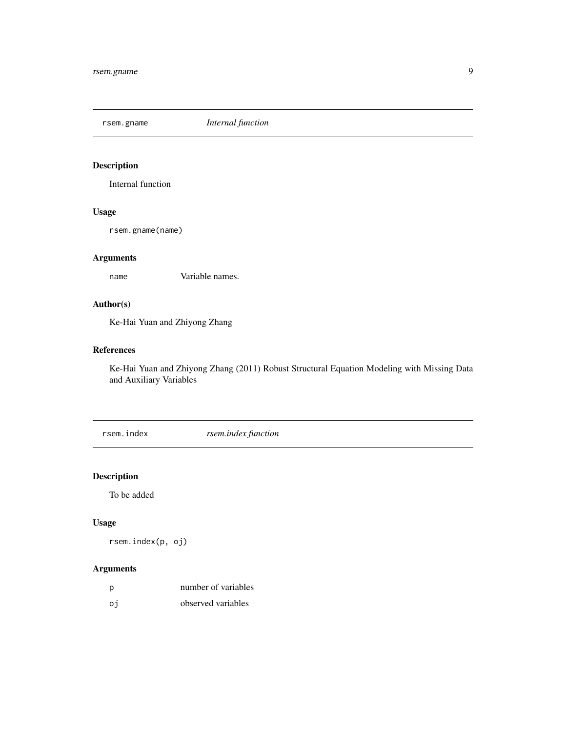<span id="page-8-0"></span>rsem.gname *Internal function*

#### Description

Internal function

#### Usage

rsem.gname(name)

#### Arguments

name Variable names.

#### Author(s)

Ke-Hai Yuan and Zhiyong Zhang

#### References

Ke-Hai Yuan and Zhiyong Zhang (2011) Robust Structural Equation Modeling with Missing Data and Auxiliary Variables

rsem.index *rsem.index function*

## Description

To be added

#### Usage

rsem.index(p, oj)

| - p | number of variables |
|-----|---------------------|
| oi  | observed variables  |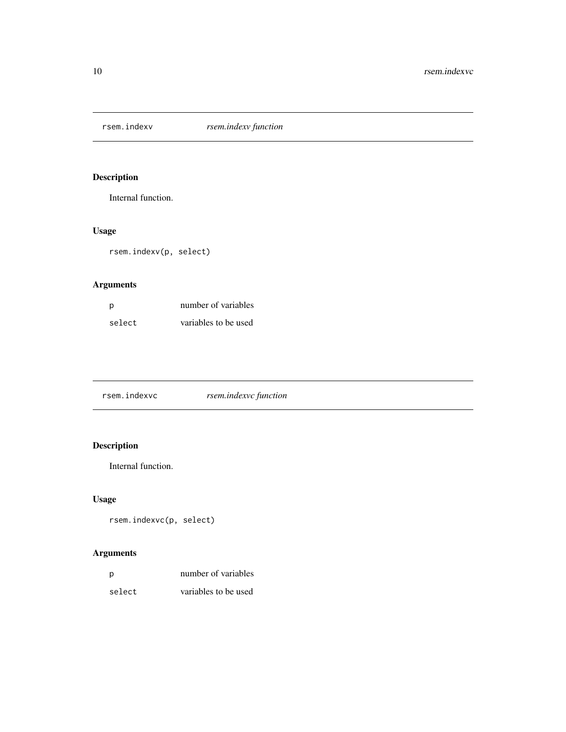<span id="page-9-0"></span>rsem.indexv *rsem.indexv function*

### Description

Internal function.

#### Usage

rsem.indexv(p, select)

#### Arguments

| - p    | number of variables  |
|--------|----------------------|
| select | variables to be used |

| rsem.indexvc function<br>rsem.indexvc |  |
|---------------------------------------|--|
|---------------------------------------|--|

### Description

Internal function.

#### Usage

rsem.indexvc(p, select)

| D      | number of variables  |
|--------|----------------------|
| select | variables to be used |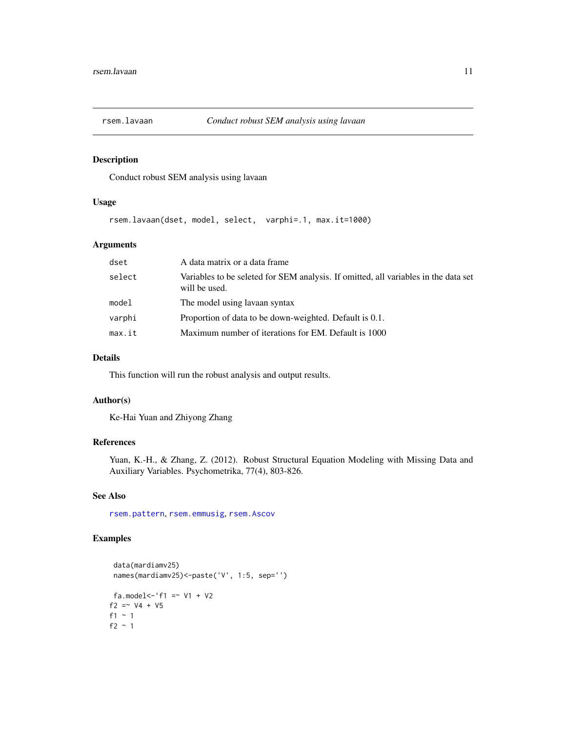<span id="page-10-0"></span>

Conduct robust SEM analysis using lavaan

#### Usage

rsem.lavaan(dset, model, select, varphi=.1, max.it=1000)

#### Arguments

| dset   | A data matrix or a data frame                                                                        |
|--------|------------------------------------------------------------------------------------------------------|
| select | Variables to be seleted for SEM analysis. If omitted, all variables in the data set<br>will be used. |
| model  | The model using lavaan syntax                                                                        |
| varphi | Proportion of data to be down-weighted. Default is 0.1.                                              |
| max.it | Maximum number of iterations for EM. Default is 1000                                                 |

#### Details

This function will run the robust analysis and output results.

#### Author(s)

Ke-Hai Yuan and Zhiyong Zhang

#### References

Yuan, K.-H., & Zhang, Z. (2012). Robust Structural Equation Modeling with Missing Data and Auxiliary Variables. Psychometrika, 77(4), 803-826.

#### See Also

[rsem.pattern](#page-11-1), [rsem.emmusig](#page-6-1), [rsem.Ascov](#page-4-1)

#### Examples

```
data(mardiamv25)
 names(mardiamv25)<-paste('V', 1:5, sep='')
fa.model <- 'f1 = \times V1 + V2
f2 = \times V4 + V5
f1 ~ 1
f2 ~\sim 1
```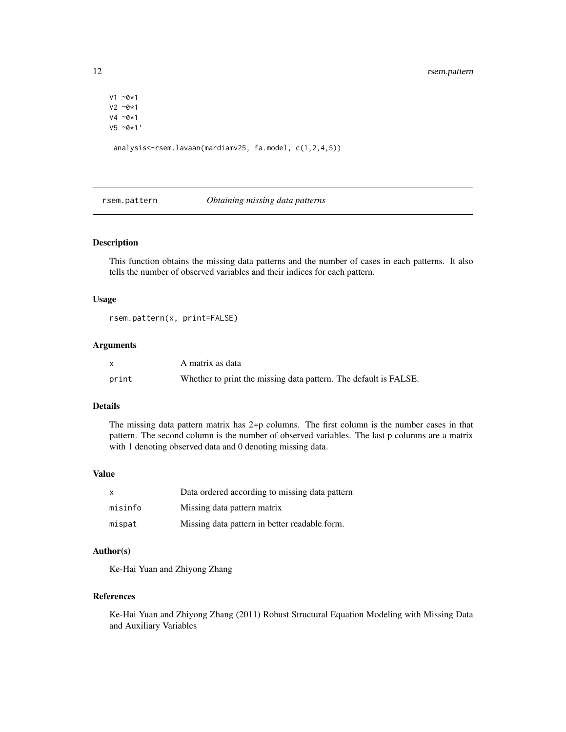```
V1 ~0*1
V2 ~0*1
V4 ~0*1
V5 ~0*1'
```
analysis<-rsem.lavaan(mardiamv25, fa.model, c(1,2,4,5))

<span id="page-11-1"></span>rsem.pattern *Obtaining missing data patterns*

#### Description

This function obtains the missing data patterns and the number of cases in each patterns. It also tells the number of observed variables and their indices for each pattern.

#### Usage

```
rsem.pattern(x, print=FALSE)
```
#### Arguments

|       | A matrix as data                                                 |
|-------|------------------------------------------------------------------|
| print | Whether to print the missing data pattern. The default is FALSE. |

#### Details

The missing data pattern matrix has 2+p columns. The first column is the number cases in that pattern. The second column is the number of observed variables. The last p columns are a matrix with 1 denoting observed data and 0 denoting missing data.

#### Value

| $\mathsf{X}$ | Data ordered according to missing data pattern |
|--------------|------------------------------------------------|
| misinfo      | Missing data pattern matrix                    |
| mispat       | Missing data pattern in better readable form.  |

#### Author(s)

Ke-Hai Yuan and Zhiyong Zhang

#### References

Ke-Hai Yuan and Zhiyong Zhang (2011) Robust Structural Equation Modeling with Missing Data and Auxiliary Variables

<span id="page-11-0"></span>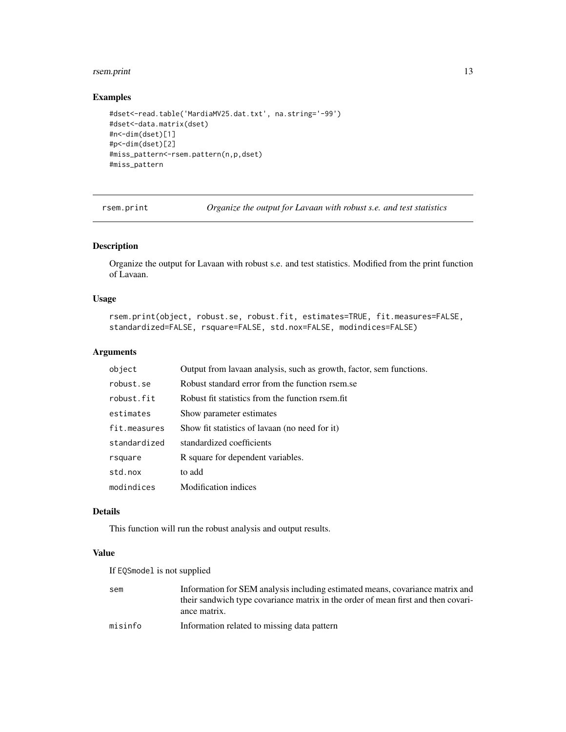#### <span id="page-12-0"></span>rsem.print 13

#### Examples

```
#dset<-read.table('MardiaMV25.dat.txt', na.string='-99')
#dset<-data.matrix(dset)
#n<-dim(dset)[1]
#p<-dim(dset)[2]
#miss_pattern<-rsem.pattern(n,p,dset)
#miss_pattern
```
rsem.print *Organize the output for Lavaan with robust s.e. and test statistics*

#### Description

Organize the output for Lavaan with robust s.e. and test statistics. Modified from the print function of Lavaan.

#### Usage

```
rsem.print(object, robust.se, robust.fit, estimates=TRUE, fit.measures=FALSE,
standardized=FALSE, rsquare=FALSE, std.nox=FALSE, modindices=FALSE)
```
#### Arguments

| object       | Output from lavaan analysis, such as growth, factor, sem functions. |
|--------------|---------------------------------------------------------------------|
| robust.se    | Robust standard error from the function rsem.se                     |
| robust.fit   | Robust fit statistics from the function rsem.fit                    |
| estimates    | Show parameter estimates                                            |
| fit.measures | Show fit statistics of lavaan (no need for it)                      |
| standardized | standardized coefficients                                           |
| rsquare      | R square for dependent variables.                                   |
| std.nox      | to add                                                              |
| modindices   | <b>Modification</b> indices                                         |

#### Details

This function will run the robust analysis and output results.

#### Value

If EQSmodel is not supplied

| sem     | Information for SEM analysis including estimated means, covariance matrix and     |
|---------|-----------------------------------------------------------------------------------|
|         | their sandwich type covariance matrix in the order of mean first and then covari- |
|         | ance matrix.                                                                      |
| misinfo | Information related to missing data pattern                                       |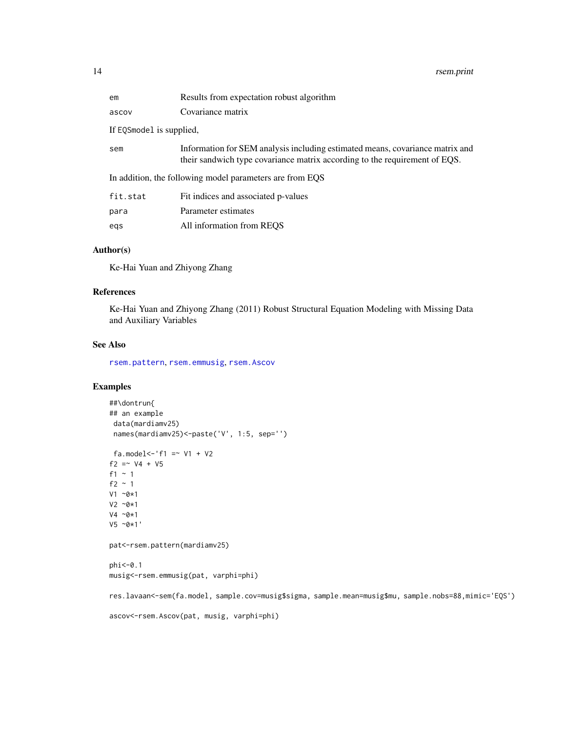<span id="page-13-0"></span>

| em                                                       | Results from expectation robust algorithm                                                                                                                   |  |
|----------------------------------------------------------|-------------------------------------------------------------------------------------------------------------------------------------------------------------|--|
| ascov                                                    | Covariance matrix                                                                                                                                           |  |
| If EQSmodel is supplied,                                 |                                                                                                                                                             |  |
| sem                                                      | Information for SEM analysis including estimated means, covariance matrix and<br>their sandwich type covariance matrix according to the requirement of EQS. |  |
| In addition, the following model parameters are from EQS |                                                                                                                                                             |  |
| fit.stat                                                 | Fit indices and associated p-values                                                                                                                         |  |
| para                                                     | Parameter estimates                                                                                                                                         |  |
| egs                                                      | All information from REQS                                                                                                                                   |  |

#### Author(s)

Ke-Hai Yuan and Zhiyong Zhang

#### References

Ke-Hai Yuan and Zhiyong Zhang (2011) Robust Structural Equation Modeling with Missing Data and Auxiliary Variables

#### See Also

[rsem.pattern](#page-11-1), [rsem.emmusig](#page-6-1), [rsem.Ascov](#page-4-1)

#### Examples

```
##\dontrun{
## an example
 data(mardiamv25)
 names(mardiamv25)<-paste('V', 1:5, sep='')
 fa.model <- 'f1 = \times V1 + V2
f2 = ~\text{V4} + V5
f1 ~ 1
f2 \sim 1
V1 ~0*1
V2 ~0*1
V4 ~0*1
V5 ~0*1'
pat<-rsem.pattern(mardiamv25)
phi<-0.1
musig<-rsem.emmusig(pat, varphi=phi)
res.lavaan<-sem(fa.model, sample.cov=musig$sigma, sample.mean=musig$mu, sample.nobs=88,mimic='EQS')
```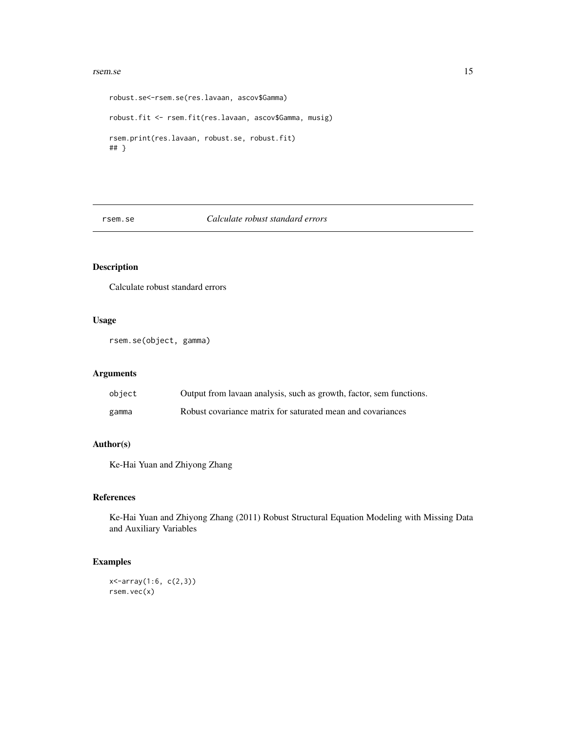#### <span id="page-14-0"></span>rsem.se and the state of the state of the state of the state of the state of the state of the state of the state of the state of the state of the state of the state of the state of the state of the state of the state of th

```
robust.se<-rsem.se(res.lavaan, ascov$Gamma)
robust.fit <- rsem.fit(res.lavaan, ascov$Gamma, musig)
rsem.print(res.lavaan, robust.se, robust.fit)
## }
```
#### rsem.se *Calculate robust standard errors*

#### Description

Calculate robust standard errors

#### Usage

rsem.se(object, gamma)

#### Arguments

| object | Output from lavaan analysis, such as growth, factor, sem functions. |
|--------|---------------------------------------------------------------------|
| gamma  | Robust covariance matrix for saturated mean and covariances         |

#### Author(s)

Ke-Hai Yuan and Zhiyong Zhang

#### References

Ke-Hai Yuan and Zhiyong Zhang (2011) Robust Structural Equation Modeling with Missing Data and Auxiliary Variables

#### Examples

```
x<-array(1:6, c(2,3))
rsem.vec(x)
```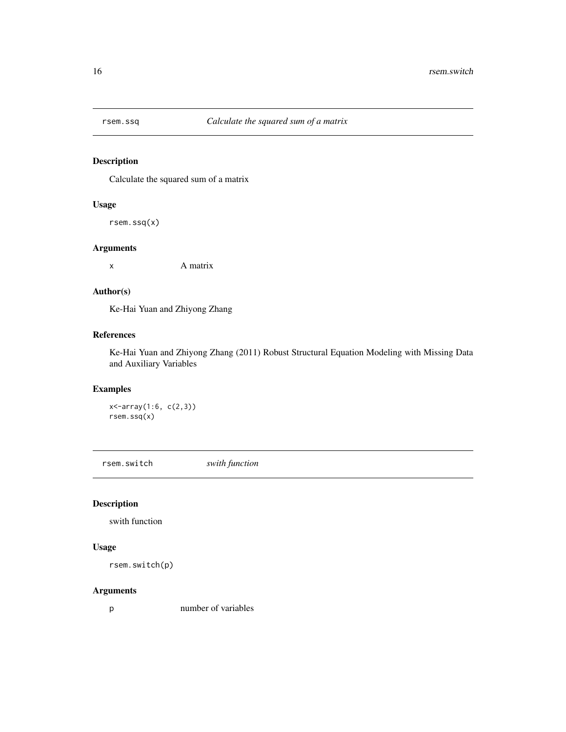<span id="page-15-0"></span>

Calculate the squared sum of a matrix

#### Usage

rsem.ssq(x)

#### Arguments

x A matrix

#### Author(s)

Ke-Hai Yuan and Zhiyong Zhang

#### References

Ke-Hai Yuan and Zhiyong Zhang (2011) Robust Structural Equation Modeling with Missing Data and Auxiliary Variables

#### Examples

x<-array(1:6, c(2,3)) rsem.ssq(x)

rsem.switch *swith function*

#### Description

swith function

#### Usage

```
rsem.switch(p)
```
#### Arguments

p number of variables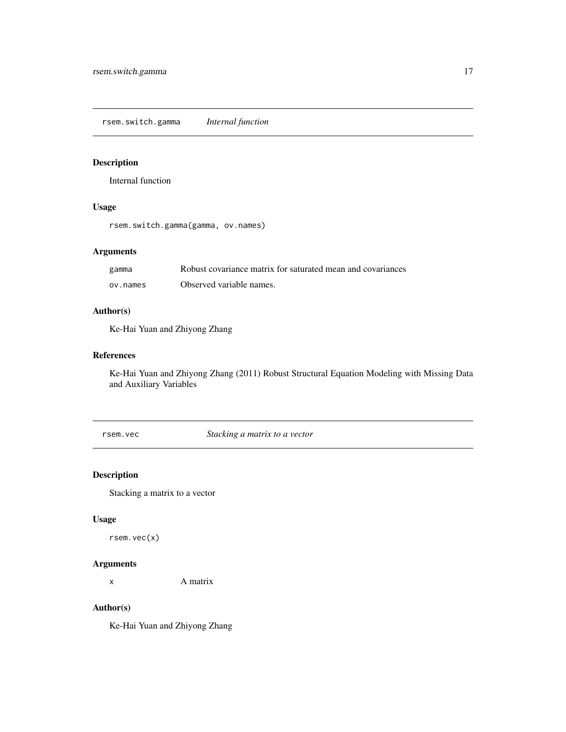<span id="page-16-0"></span>rsem.switch.gamma *Internal function*

#### Description

Internal function

#### Usage

rsem.switch.gamma(gamma, ov.names)

#### Arguments

| gamma    | Robust covariance matrix for saturated mean and covariances |
|----------|-------------------------------------------------------------|
| ov.names | Observed variable names.                                    |

#### Author(s)

Ke-Hai Yuan and Zhiyong Zhang

#### References

Ke-Hai Yuan and Zhiyong Zhang (2011) Robust Structural Equation Modeling with Missing Data and Auxiliary Variables

rsem.vec *Stacking a matrix to a vector*

#### Description

Stacking a matrix to a vector

#### Usage

rsem.vec(x)

#### Arguments

x A matrix

#### Author(s)

Ke-Hai Yuan and Zhiyong Zhang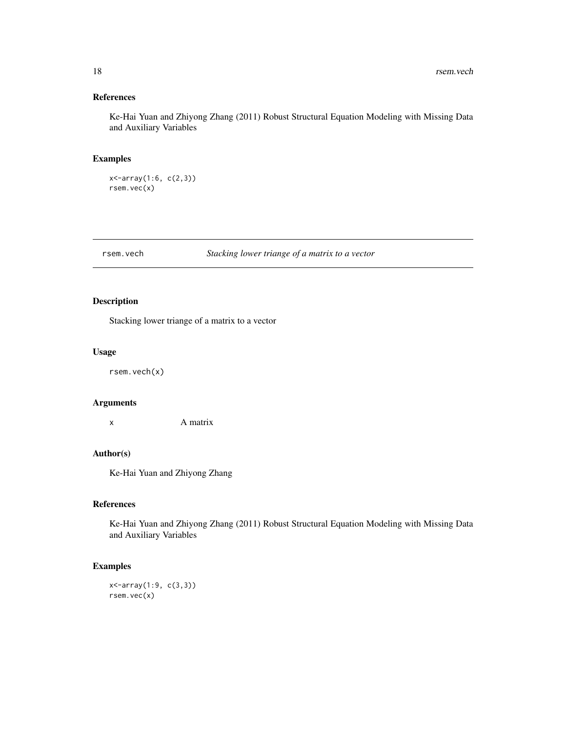#### <span id="page-17-0"></span>References

Ke-Hai Yuan and Zhiyong Zhang (2011) Robust Structural Equation Modeling with Missing Data and Auxiliary Variables

#### Examples

x<-array(1:6, c(2,3)) rsem.vec(x)

#### rsem.vech *Stacking lower triange of a matrix to a vector*

#### Description

Stacking lower triange of a matrix to a vector

#### Usage

rsem.vech(x)

#### Arguments

x A matrix

#### Author(s)

Ke-Hai Yuan and Zhiyong Zhang

#### References

Ke-Hai Yuan and Zhiyong Zhang (2011) Robust Structural Equation Modeling with Missing Data and Auxiliary Variables

#### Examples

x<-array(1:9, c(3,3)) rsem.vec(x)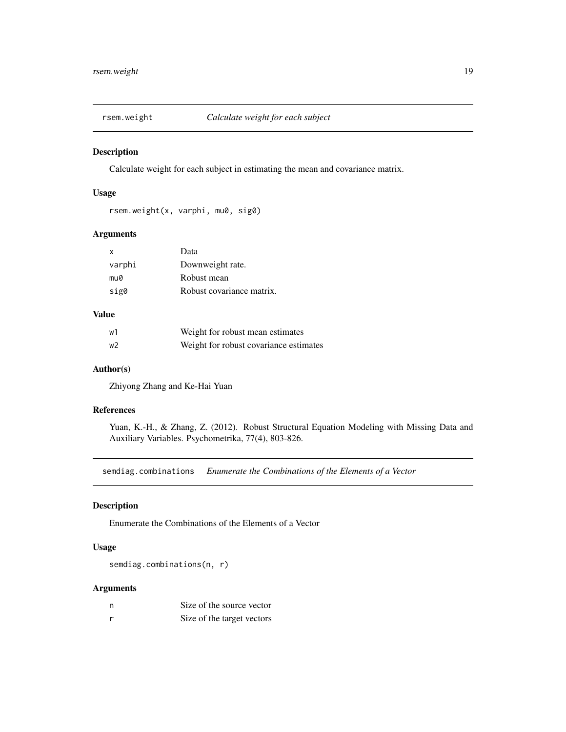<span id="page-18-0"></span>

Calculate weight for each subject in estimating the mean and covariance matrix.

#### Usage

```
rsem.weight(x, varphi, mu0, sig0)
```
#### Arguments

| $\mathsf{x}$ | Data                      |
|--------------|---------------------------|
| varphi       | Downweight rate.          |
| mu0          | Robust mean               |
| sig0         | Robust covariance matrix. |

#### Value

| w1 | Weight for robust mean estimates       |
|----|----------------------------------------|
| w2 | Weight for robust covariance estimates |

#### Author(s)

Zhiyong Zhang and Ke-Hai Yuan

#### References

Yuan, K.-H., & Zhang, Z. (2012). Robust Structural Equation Modeling with Missing Data and Auxiliary Variables. Psychometrika, 77(4), 803-826.

semdiag.combinations *Enumerate the Combinations of the Elements of a Vector*

#### Description

Enumerate the Combinations of the Elements of a Vector

#### Usage

semdiag.combinations(n, r)

| - n          | Size of the source vector  |
|--------------|----------------------------|
| <sub>r</sub> | Size of the target vectors |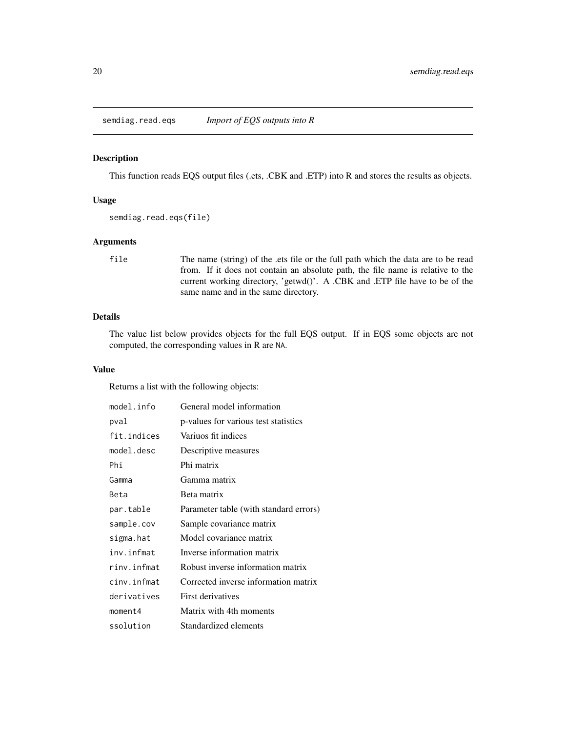<span id="page-19-1"></span><span id="page-19-0"></span>semdiag.read.eqs *Import of EQS outputs into R*

#### Description

This function reads EQS output files (.ets, .CBK and .ETP) into R and stores the results as objects.

#### Usage

```
semdiag.read.eqs(file)
```
#### Arguments

file The name (string) of the .ets file or the full path which the data are to be read from. If it does not contain an absolute path, the file name is relative to the current working directory, 'getwd()'. A .CBK and .ETP file have to be of the same name and in the same directory.

#### Details

The value list below provides objects for the full EQS output. If in EQS some objects are not computed, the corresponding values in R are NA.

#### Value

Returns a list with the following objects:

| model.info  | General model information              |
|-------------|----------------------------------------|
| pval        | p-values for various test statistics   |
| fit.indices | Variuos fit indices                    |
| model.desc  | Descriptive measures                   |
| Phi         | Phi matrix                             |
| Gamma       | Gamma matrix                           |
| Beta        | Beta matrix                            |
| par.table   | Parameter table (with standard errors) |
| sample.cov  | Sample covariance matrix               |
| sigma.hat   | Model covariance matrix                |
| inv.infmat  | Inverse information matrix             |
| rinv.infmat | Robust inverse information matrix      |
| cinv.infmat | Corrected inverse information matrix   |
| derivatives | First derivatives                      |
| moment4     | Matrix with 4th moments                |
| ssolution   | Standardized elements                  |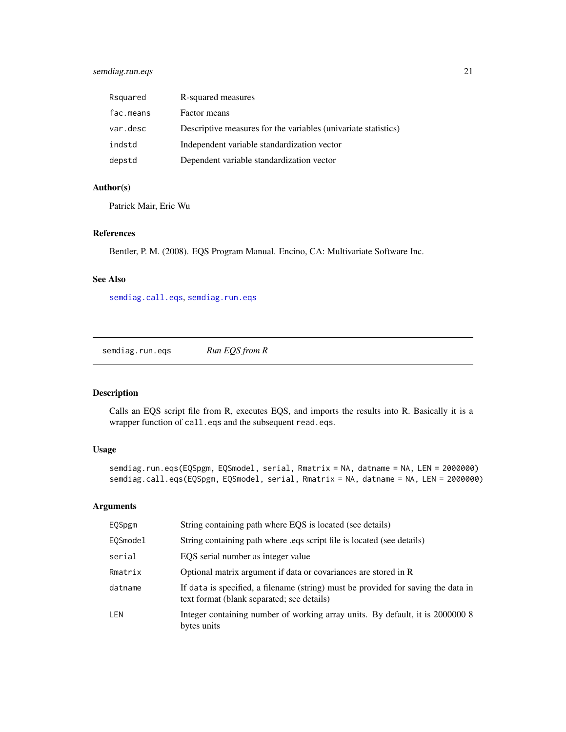#### <span id="page-20-0"></span>semdiag.run.eqs 21

| Rsquared  | R-squared measures                                             |
|-----------|----------------------------------------------------------------|
| fac.means | Factor means                                                   |
| var.desc  | Descriptive measures for the variables (univariate statistics) |
| indstd    | Independent variable standardization vector                    |
| depstd    | Dependent variable standardization vector                      |

#### Author(s)

Patrick Mair, Eric Wu

#### References

Bentler, P. M. (2008). EQS Program Manual. Encino, CA: Multivariate Software Inc.

#### See Also

[semdiag.call.eqs](#page-20-1), [semdiag.run.eqs](#page-20-2)

<span id="page-20-2"></span>semdiag.run.eqs *Run EQS from R*

#### <span id="page-20-1"></span>Description

Calls an EQS script file from R, executes EQS, and imports the results into R. Basically it is a wrapper function of call.eqs and the subsequent read.eqs.

#### Usage

semdiag.run.eqs(EQSpgm, EQSmodel, serial, Rmatrix = NA, datname = NA, LEN = 2000000) semdiag.call.eqs(EQSpgm, EQSmodel, serial, Rmatrix = NA, datname = NA, LEN = 2000000)

| EQSpgm     | String containing path where EQS is located (see details)                                                                       |
|------------|---------------------------------------------------------------------------------------------------------------------------------|
| EOSmodel   | String containing path where eqs script file is located (see details)                                                           |
| serial     | EOS serial number as integer value                                                                                              |
| Rmatrix    | Optional matrix argument if data or covariances are stored in R                                                                 |
| datname    | If data is specified, a filename (string) must be provided for saving the data in<br>text format (blank separated; see details) |
| <b>LEN</b> | Integer containing number of working array units. By default, it is 2000000 8<br>bytes units                                    |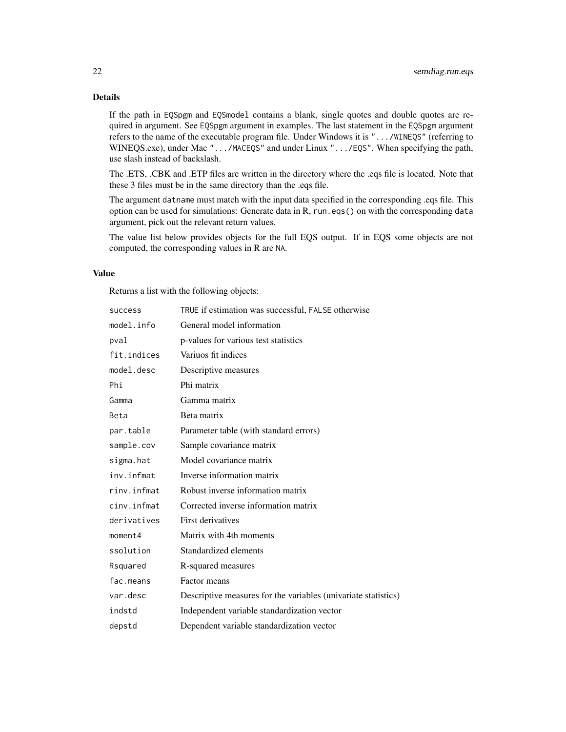#### Details

If the path in EQSpgm and EQSmodel contains a blank, single quotes and double quotes are required in argument. See EQSpgm argument in examples. The last statement in the EQSpgm argument refers to the name of the executable program file. Under Windows it is ".../WINEQS" (referring to WINEQS.exe), under Mac ".../MACEQS" and under Linux ".../EQS". When specifying the path, use slash instead of backslash.

The .ETS, .CBK and .ETP files are written in the directory where the .eqs file is located. Note that these 3 files must be in the same directory than the .eqs file.

The argument datname must match with the input data specified in the corresponding .eqs file. This option can be used for simulations: Generate data in R, run.eqs() on with the corresponding data argument, pick out the relevant return values.

The value list below provides objects for the full EQS output. If in EQS some objects are not computed, the corresponding values in R are NA.

#### Value

Returns a list with the following objects:

| success     | TRUE if estimation was successful, FALSE otherwise             |
|-------------|----------------------------------------------------------------|
| model.info  | General model information                                      |
| pval        | p-values for various test statistics                           |
| fit.indices | Variuos fit indices                                            |
| model.desc  | Descriptive measures                                           |
| Phi         | Phi matrix                                                     |
| Gamma       | Gamma matrix                                                   |
| Beta        | Beta matrix                                                    |
| par.table   | Parameter table (with standard errors)                         |
| sample.cov  | Sample covariance matrix                                       |
| sigma.hat   | Model covariance matrix                                        |
| inv.infmat  | Inverse information matrix                                     |
| rinv.infmat | Robust inverse information matrix                              |
| cinv.infmat | Corrected inverse information matrix                           |
| derivatives | First derivatives                                              |
| moment4     | Matrix with 4th moments                                        |
| ssolution   | Standardized elements                                          |
| Rsquared    | R-squared measures                                             |
| fac.means   | Factor means                                                   |
| var.desc    | Descriptive measures for the variables (univariate statistics) |
| indstd      | Independent variable standardization vector                    |
| depstd      | Dependent variable standardization vector                      |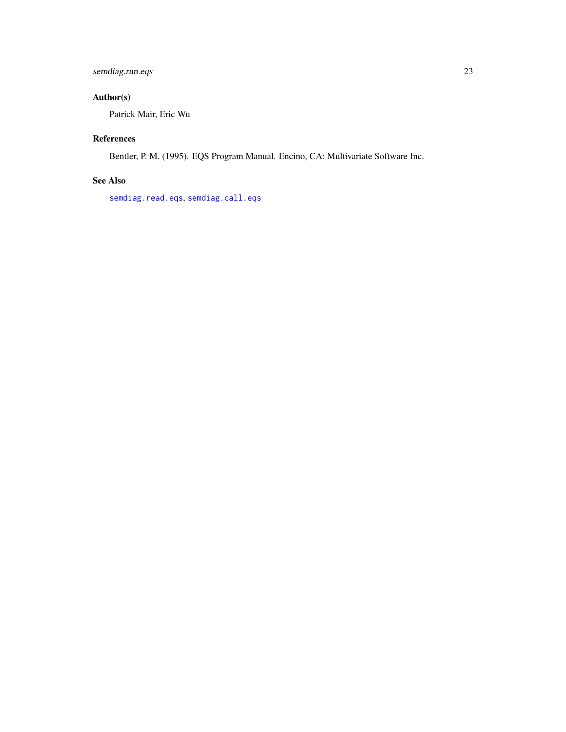#### <span id="page-22-0"></span>semdiag.run.eqs 23

#### Author(s)

Patrick Mair, Eric Wu

#### References

Bentler, P. M. (1995). EQS Program Manual. Encino, CA: Multivariate Software Inc.

#### See Also

[semdiag.read.eqs](#page-19-1), [semdiag.call.eqs](#page-20-1)